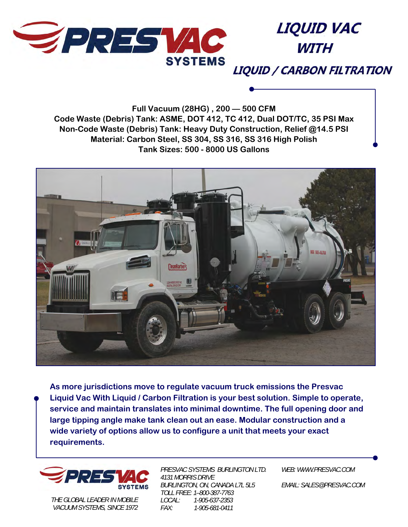

**LIQUID VAC WITH** 

**LIQUID / CARBON FILTRATION** 

**Full Vacuum (28HG) , 200 — 500 CFM Code Waste (Debris) Tank: ASME, DOT 412, TC 412, Dual DOT/TC, 35 PSI Max Non-Code Waste (Debris) Tank: Heavy Duty Construction, Relief @14.5 PSI Material: Carbon Steel, SS 304, SS 316, SS 316 High Polish Tank Sizes: 500 - 8000 US Gallons** 



**As more jurisdictions move to regulate vacuum truck emissions the Presvac Liquid Vac With Liquid / Carbon Filtration is your best solution. Simple to operate, service and maintain translates into minimal downtime. The full opening door and large tipping angle make tank clean out an ease. Modular construction and a wide variety of options allow us to configure a unit that meets your exact requirements.** 



*THE GLOBAL LEADER IN MOBILE VACUUM SYSTEMS, SINCE 1972* 

*PRESVAC SYSTEMS BURLINGTON LTD. 4131 MORRIS DRIVE BURLINGTON, ON, CANADA L7L 5L5 TOLL FREE: 1–800-387-7763 LOCAL: 1-905-637-2353 FAX: 1-905-681-0411* 

*WEB: WWW.PRESVAC.COM* 

*EMAIL: SALES@PRESVAC.COM*